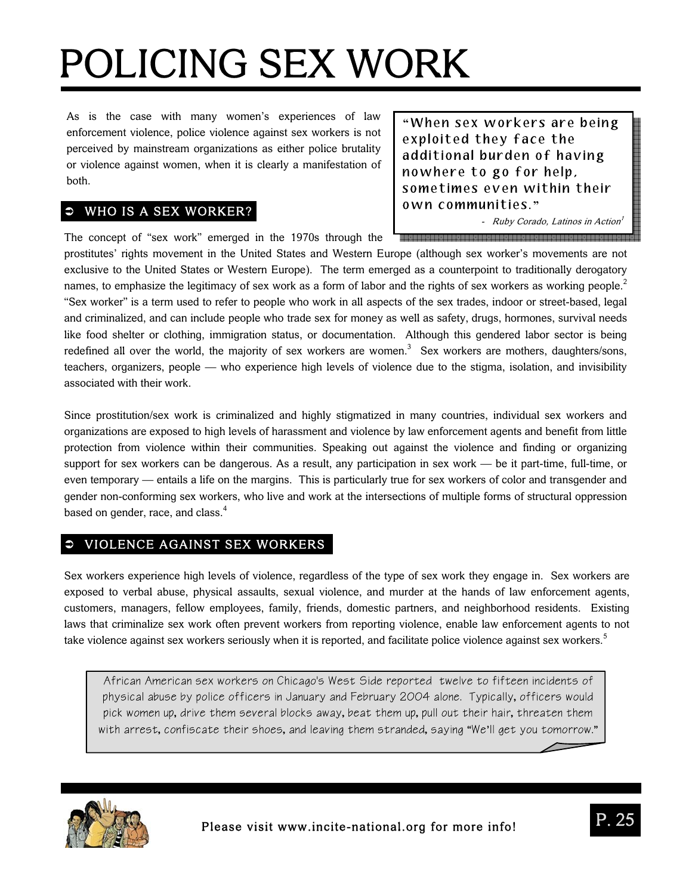As is the case with many women's experiences of law enforcement violence, police violence against sex workers is not perceived by mainstream organizations as either police brutality or violence against women, when it is clearly a manifestation of both.

# $\overline{\bullet}$  WHO IS A SEX WORKER?

The concept of "sex work" emerged in the 1970s through the

**"** When sex workers are being exploited they face the additional burden of having nowhere to go for help, sometimes even within their own communities. **"**

- Ruby Corado, Latinos in Action<sup>1</sup>

prostitutes' rights movement in the United States and Western Europe (although sex worker's movements are not exclusive to the United States or Western Europe). The term emerged as a counterpoint to traditionally derogatory names, to emphasize the legitimacy of sex work as a form of labor and the rights of sex workers as working people.<sup>2</sup> "Sex worker" is a term used to refer to people who work in all aspects of the sex trades, indoor or street-based, legal and criminalized, and can include people who trade sex for money as well as safety, drugs, hormones, survival needs like food shelter or clothing, immigration status, or documentation. Although this gendered labor sector is being redefined all over the world, the majority of sex workers are women.<sup>3</sup> Sex workers are mothers, daughters/sons, teachers, organizers, people — who experience high levels of violence due to the stigma, isolation, and invisibility associated with their work.

Since prostitution/sex work is criminalized and highly stigmatized in many countries, individual sex workers and organizations are exposed to high levels of harassment and violence by law enforcement agents and benefit from little protection from violence within their communities. Speaking out against the violence and finding or organizing support for sex workers can be dangerous. As a result, any participation in sex work — be it part-time, full-time, or even temporary — entails a life on the margins. This is particularly true for sex workers of color and transgender and gender non-conforming sex workers, who live and work at the intersections of multiple forms of structural oppression based on gender, race, and class.<sup>4</sup>

# VIOLENCE AGAINST SEX WORKERS

Sex workers experience high levels of violence, regardless of the type of sex work they engage in. Sex workers are exposed to verbal abuse, physical assaults, sexual violence, and murder at the hands of law enforcement agents, customers, managers, fellow employees, family, friends, domestic partners, and neighborhood residents. Existing laws that criminalize sex work often prevent workers from reporting violence, enable law enforcement agents to not take violence against sex workers seriously when it is reported, and facilitate police violence against sex workers.<sup>5</sup>

African American sex workers on Chicago's West Side reported twelve to fifteen incidents of physical abuse by police officers in January and February 2004 alone. Typically, officers would pick women up, drive them several blocks away, beat them up, pull out their hair, threaten them with arrest, confiscate their shoes, and leaving them stranded, saying "We'll get you tomorrow."

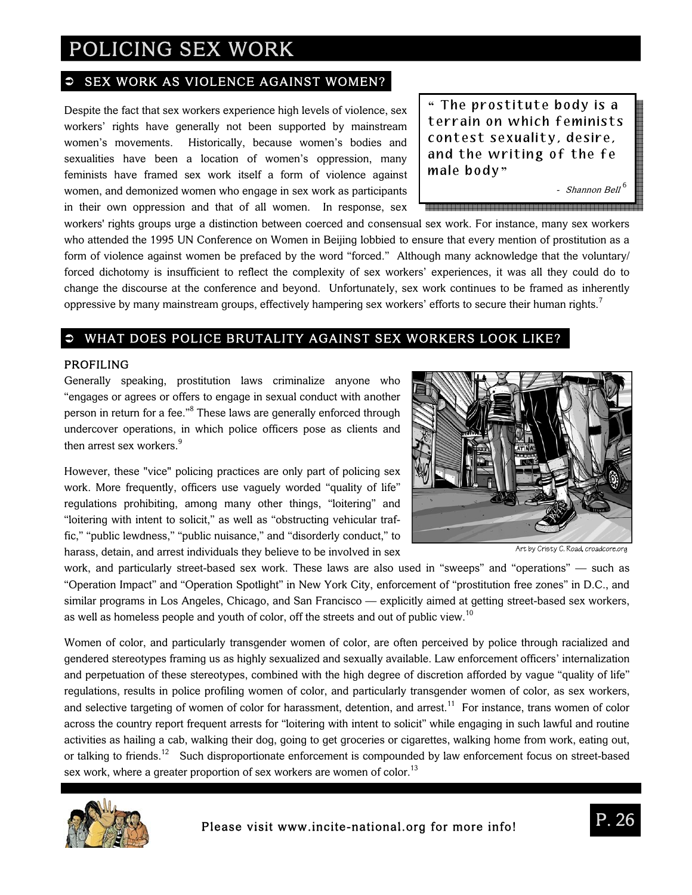### SEX WORK AS VIOLENCE AGAINST WOMEN?

Despite the fact that sex workers experience high levels of violence, sex workers' rights have generally not been supported by mainstream women's movements. Historically, because women's bodies and sexualities have been a location of women's oppression, many feminists have framed sex work itself a form of violence against women, and demonized women who engage in sex work as participants in their own oppression and that of all women. In response, sex

**"** The prostitute body is a terrain on which feminists contest sexuality, desire, and the writing of the fe male body **"**

- Shannon Bell<sup>6</sup>

workers' rights groups urge a distinction between coerced and consensual sex work. For instance, many sex workers who attended the 1995 UN Conference on Women in Beijing lobbied to ensure that every mention of prostitution as a form of violence against women be prefaced by the word "forced." Although many acknowledge that the voluntary/ forced dichotomy is insufficient to reflect the complexity of sex workers' experiences, it was all they could do to change the discourse at the conference and beyond. Unfortunately, sex work continues to be framed as inherently oppressive by many mainstream groups, effectively hampering sex workers' efforts to secure their human rights.<sup>7</sup>

## WHAT DOES POLICE BRUTALITY AGAINST SEX WORKERS LOOK LIKE?

#### PROFILING

Generally speaking, prostitution laws criminalize anyone who "engages or agrees or offers to engage in sexual conduct with another person in return for a fee."<sup>8</sup> These laws are generally enforced through undercover operations, in which police officers pose as clients and then arrest sex workers.<sup>9</sup>

However, these "vice" policing practices are only part of policing sex work. More frequently, officers use vaguely worded "quality of life" regulations prohibiting, among many other things, "loitering" and "loitering with intent to solicit," as well as "obstructing vehicular traffic," "public lewdness," "public nuisance," and "disorderly conduct," to harass, detain, and arrest individuals they believe to be involved in sex



Art by Cristy C. Road, croadcore.org

work, and particularly street-based sex work. These laws are also used in "sweeps" and "operations" — such as "Operation Impact" and "Operation Spotlight" in New York City, enforcement of "prostitution free zones" in D.C., and similar programs in Los Angeles, Chicago, and San Francisco — explicitly aimed at getting street-based sex workers, as well as homeless people and youth of color, off the streets and out of public view.<sup>10</sup>

Women of color, and particularly transgender women of color, are often perceived by police through racialized and gendered stereotypes framing us as highly sexualized and sexually available. Law enforcement officers' internalization and perpetuation of these stereotypes, combined with the high degree of discretion afforded by vague "quality of life" regulations, results in police profiling women of color, and particularly transgender women of color, as sex workers, and selective targeting of women of color for harassment, detention, and arrest.<sup>11</sup> For instance, trans women of color across the country report frequent arrests for "loitering with intent to solicit" while engaging in such lawful and routine activities as hailing a cab, walking their dog, going to get groceries or cigarettes, walking home from work, eating out, or talking to friends.<sup>12</sup> Such disproportionate enforcement is compounded by law enforcement focus on street-based sex work, where a greater proportion of sex workers are women of color.<sup>13</sup>

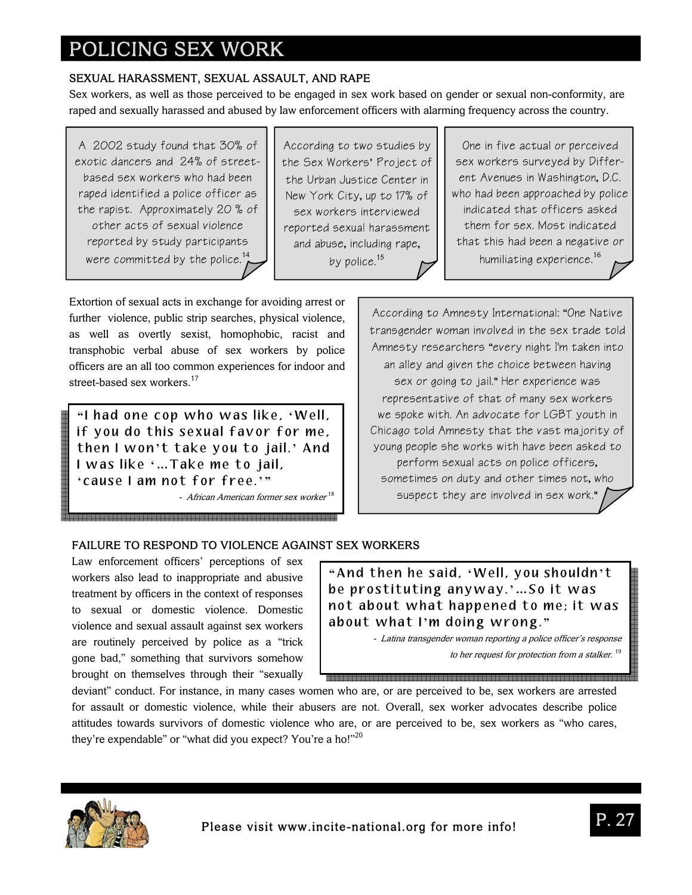# SEXUAL HARASSMENT, SEXUAL ASSAULT, AND RAPE

Sex workers, as well as those perceived to be engaged in sex work based on gender or sexual non-conformity, are raped and sexually harassed and abused by law enforcement officers with alarming frequency across the country.

A 2002 study found that 30% of exotic dancers and 24% of streetbased sex workers who had been raped identified a police officer as the rapist. Approximately 20 % of other acts of sexual violence reported by study participants were committed by the police. $14$ 

According to two studies by the Sex Workers' Project of the Urban Justice Center in New York City, up to 17% of sex workers interviewed reported sexual harassment and abuse, including rape, by police.<sup>15</sup>

One in five actual or perceived sex workers surveyed by Different Avenues in Washington, D.C. who had been approached by police indicated that officers asked them for sex. Most indicated that this had been a negative or humiliating experience.<sup>16</sup>

Extortion of sexual acts in exchange for avoiding arrest or further violence, public strip searches, physical violence, as well as overtly sexist, homophobic, racist and transphobic verbal abuse of sex workers by police officers are an all too common experiences for indoor and street-based sex workers.<sup>17</sup>

**"** I had one cop who was like, **'** Well, if you do this sexual favor for me, then I won **'** t take you to jail. **'** And I was like **' …** Take me to jail, **'** cause I am not for free. **' "**

- African American former sex worker  $^{18}$ 

According to Amnesty International: "One Native transgender woman involved in the sex trade told Amnesty researchers "every night I'm taken into an alley and given the choice between having sex or going to jail." Her experience was representative of that of many sex workers we spoke with. An advocate for LGBT youth in Chicago told Amnesty that the vast majority of young people she works with have been asked to perform sexual acts on police officers, sometimes on duty and other times not, who suspect they are involved in sex work."

## FAILURE TO RESPOND TO VIOLENCE AGAINST SEX WORKERS

Law enforcement officers' perceptions of sex workers also lead to inappropriate and abusive treatment by officers in the context of responses to sexual or domestic violence. Domestic violence and sexual assault against sex workers are routinely perceived by police as a "trick gone bad," something that survivors somehow brought on themselves through their "sexually

**"** And then he said, **'** Well, you shouldn **'** t be prostituting anyway. **' …** So it was not about what happened to me; it was about what I **'** m doing wrong. **"**

> - Latina transgender woman reporting a police officer's response to her request for protection from a stalker.<sup>19</sup>

.<br>Alaan ahaan ahaan ahaan ahaan ahaan ahaan ahaan ahaan ahaan ahaan ahaan ahaan ahaan ahaan ahaan ahaan ahaan ah

deviant" conduct. For instance, in many cases women who are, or are perceived to be, sex workers are arrested for assault or domestic violence, while their abusers are not. Overall, sex worker advocates describe police attitudes towards survivors of domestic violence who are, or are perceived to be, sex workers as "who cares, they're expendable" or "what did you expect? You're a ho!"<sup>20</sup>